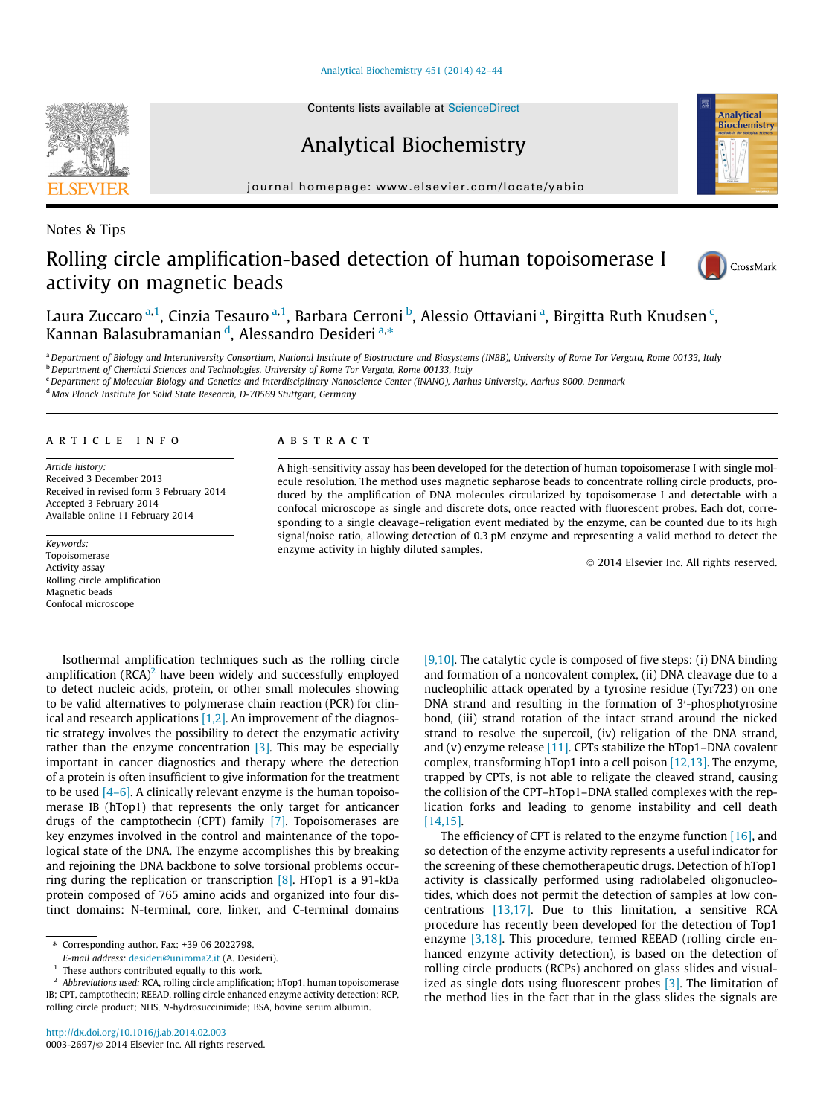[Analytical Biochemistry 451 \(2014\) 42–44](http://dx.doi.org/10.1016/j.ab.2014.02.003)

Contents lists available at [ScienceDirect](http://www.sciencedirect.com/science/journal/00032697)

Analytical Biochemistry

journal homepage: [www.elsevier.com/locate/yabio](http://www.elsevier.com/locate/yabio)

# Rolling circle amplification-based detection of human topoisomerase I activity on magnetic beads

Laura Zuccaro <sup>a, 1</sup>, Cinzia Tesauro <sup>a, 1</sup>, Barbara Cerroni <sup>b</sup>, Alessio Ottaviani <sup>a</sup>, Birgitta Ruth Knudsen <sup>c</sup>, Kannan Balasubramanian <sup>d</sup>, Alessandro Desideri <sup>a,</sup>\*

a Department of Biology and Interuniversity Consortium, National Institute of Biostructure and Biosystems (INBB), University of Rome Tor Vergata, Rome 00133, Italy

<sup>b</sup> Department of Chemical Sciences and Technologies, University of Rome Tor Vergata, Rome 00133, Italy

<sup>c</sup> Department of Molecular Biology and Genetics and Interdisciplinary Nanoscience Center (iNANO), Aarhus University, Aarhus 8000, Denmark

<sup>d</sup> Max Planck Institute for Solid State Research, D-70569 Stuttgart, Germany

# article info

Article history: Received 3 December 2013 Received in revised form 3 February 2014 Accepted 3 February 2014 Available online 11 February 2014

Keywords: Topoisomerase Activity assay Rolling circle amplification Magnetic beads Confocal microscope

#### **ABSTRACT**

A high-sensitivity assay has been developed for the detection of human topoisomerase I with single molecule resolution. The method uses magnetic sepharose beads to concentrate rolling circle products, produced by the amplification of DNA molecules circularized by topoisomerase I and detectable with a confocal microscope as single and discrete dots, once reacted with fluorescent probes. Each dot, corresponding to a single cleavage–religation event mediated by the enzyme, can be counted due to its high signal/noise ratio, allowing detection of 0.3 pM enzyme and representing a valid method to detect the enzyme activity in highly diluted samples.

- 2014 Elsevier Inc. All rights reserved.

Isothermal amplification techniques such as the rolling circle amplification  $(RCA)^2$  have been widely and successfully employed to detect nucleic acids, protein, or other small molecules showing to be valid alternatives to polymerase chain reaction (PCR) for clinical and research applications [\[1,2\]](#page-2-0). An improvement of the diagnostic strategy involves the possibility to detect the enzymatic activity rather than the enzyme concentration [\[3\].](#page-2-0) This may be especially important in cancer diagnostics and therapy where the detection of a protein is often insufficient to give information for the treatment to be used  $[4-6]$ . A clinically relevant enzyme is the human topoisomerase IB (hTop1) that represents the only target for anticancer drugs of the camptothecin (CPT) family [\[7\].](#page-2-0) Topoisomerases are key enzymes involved in the control and maintenance of the topological state of the DNA. The enzyme accomplishes this by breaking and rejoining the DNA backbone to solve torsional problems occurring during the replication or transcription [\[8\].](#page-2-0) HTop1 is a 91-kDa protein composed of 765 amino acids and organized into four distinct domains: N-terminal, core, linker, and C-terminal domains [\[9,10\]](#page-2-0). The catalytic cycle is composed of five steps: (i) DNA binding and formation of a noncovalent complex, (ii) DNA cleavage due to a nucleophilic attack operated by a tyrosine residue (Tyr723) on one DNA strand and resulting in the formation of 3'-phosphotyrosine bond, (iii) strand rotation of the intact strand around the nicked strand to resolve the supercoil, (iv) religation of the DNA strand, and (v) enzyme release  $[11]$ . CPTs stabilize the hTop1–DNA covalent complex, transforming hTop1 into a cell poison [\[12,13\].](#page-2-0) The enzyme, trapped by CPTs, is not able to religate the cleaved strand, causing the collision of the CPT–hTop1–DNA stalled complexes with the replication forks and leading to genome instability and cell death [\[14,15\].](#page-2-0)

The efficiency of CPT is related to the enzyme function  $[16]$ , and so detection of the enzyme activity represents a useful indicator for the screening of these chemotherapeutic drugs. Detection of hTop1 activity is classically performed using radiolabeled oligonucleotides, which does not permit the detection of samples at low concentrations [\[13,17\]](#page-2-0). Due to this limitation, a sensitive RCA procedure has recently been developed for the detection of Top1 enzyme [\[3,18\].](#page-2-0) This procedure, termed REEAD (rolling circle enhanced enzyme activity detection), is based on the detection of rolling circle products (RCPs) anchored on glass slides and visualized as single dots using fluorescent probes  $[3]$ . The limitation of the method lies in the fact that in the glass slides the signals are



Notes & Tips



**Analytical** Biochemistry

<sup>⇑</sup> Corresponding author. Fax: +39 06 2022798.

E-mail address: [desideri@uniroma2.it](mailto:desideri@uniroma2.it) (A. Desideri).

 $<sup>1</sup>$  These authors contributed equally to this work.</sup>

<sup>&</sup>lt;sup>2</sup> Abbreviations used: RCA, rolling circle amplification; hTop1, human topoisomerase IB; CPT, camptothecin; REEAD, rolling circle enhanced enzyme activity detection; RCP, rolling circle product; NHS, N-hydrosuccinimide; BSA, bovine serum albumin.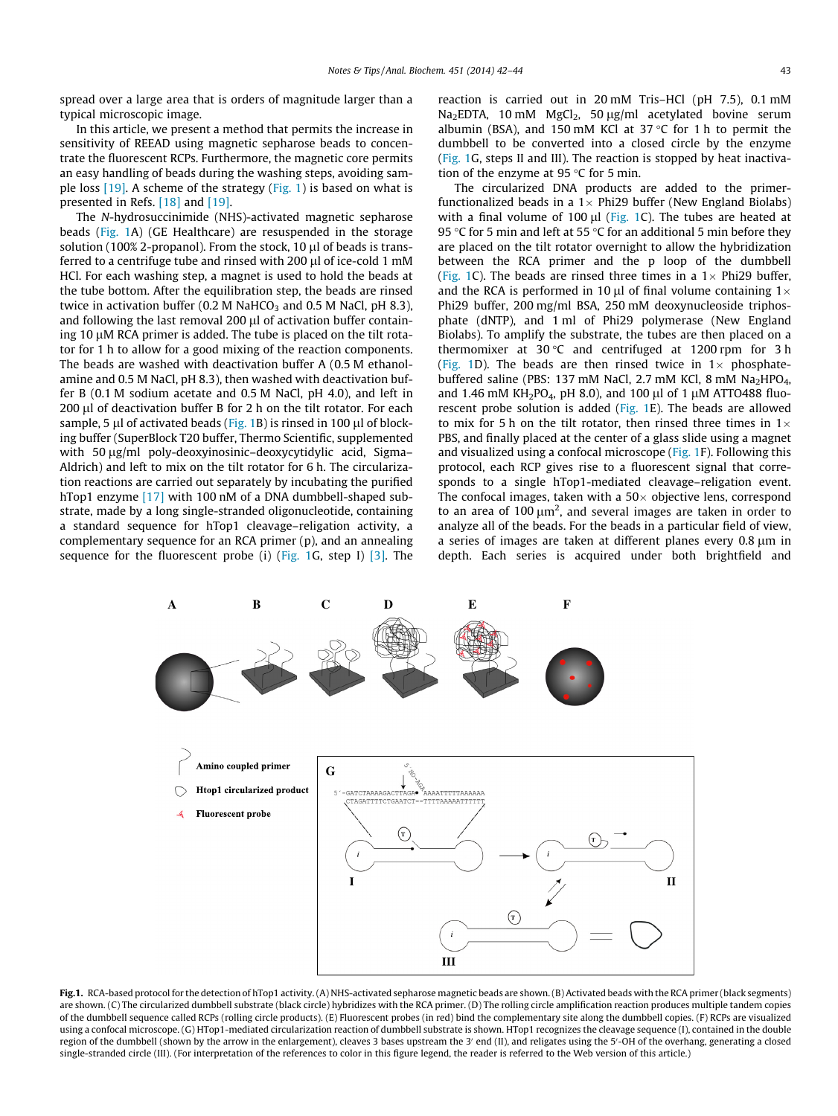spread over a large area that is orders of magnitude larger than a typical microscopic image.

In this article, we present a method that permits the increase in sensitivity of REEAD using magnetic sepharose beads to concentrate the fluorescent RCPs. Furthermore, the magnetic core permits an easy handling of beads during the washing steps, avoiding sample loss [\[19\]](#page-2-0). A scheme of the strategy (Fig. 1) is based on what is presented in Refs. [\[18\]](#page-2-0) and [\[19\]](#page-2-0).

The N-hydrosuccinimide (NHS)-activated magnetic sepharose beads (Fig. 1A) (GE Healthcare) are resuspended in the storage solution (100% 2-propanol). From the stock, 10  $\mu$ l of beads is transferred to a centrifuge tube and rinsed with 200  $\mu$ l of ice-cold 1 mM HCl. For each washing step, a magnet is used to hold the beads at the tube bottom. After the equilibration step, the beads are rinsed twice in activation buffer (0.2 M NaHCO<sub>3</sub> and 0.5 M NaCl, pH 8.3), and following the last removal  $200 \mu$  of activation buffer containing 10  $\mu$ M RCA primer is added. The tube is placed on the tilt rotator for 1 h to allow for a good mixing of the reaction components. The beads are washed with deactivation buffer A (0.5 M ethanolamine and 0.5 M NaCl, pH 8.3), then washed with deactivation buffer B (0.1 M sodium acetate and 0.5 M NaCl, pH 4.0), and left in 200 µl of deactivation buffer B for 2 h on the tilt rotator. For each sample, 5  $\mu$ l of activated beads (Fig. 1B) is rinsed in 100  $\mu$ l of blocking buffer (SuperBlock T20 buffer, Thermo Scientific, supplemented with 50  $\mu$ g/ml poly-deoxyinosinic–deoxycytidylic acid, Sigma– Aldrich) and left to mix on the tilt rotator for 6 h. The circularization reactions are carried out separately by incubating the purified hTop1 enzyme [\[17\]](#page-2-0) with 100 nM of a DNA dumbbell-shaped substrate, made by a long single-stranded oligonucleotide, containing a standard sequence for hTop1 cleavage–religation activity, a complementary sequence for an RCA primer (p), and an annealing sequence for the fluorescent probe (i) (Fig. 1G, step I)  $[3]$ . The reaction is carried out in 20 mM Tris–HCl (pH 7.5), 0.1 mM Na<sub>2</sub>EDTA, 10 mM MgCl<sub>2</sub>, 50  $\mu$ g/ml acetylated bovine serum albumin (BSA), and 150 mM KCl at 37  $\degree$ C for 1 h to permit the dumbbell to be converted into a closed circle by the enzyme (Fig. 1G, steps II and III). The reaction is stopped by heat inactivation of the enzyme at 95  $\degree$ C for 5 min.

The circularized DNA products are added to the primerfunctionalized beads in a 1 $\times$  Phi29 buffer (New England Biolabs) with a final volume of 100  $\mu$ l (Fig. 1C). The tubes are heated at 95 °C for 5 min and left at 55 °C for an additional 5 min before they are placed on the tilt rotator overnight to allow the hybridization between the RCA primer and the p loop of the dumbbell (Fig. 1C). The beads are rinsed three times in a  $1\times$  Phi29 buffer, and the RCA is performed in 10  $\mu$ l of final volume containing 1 $\times$ Phi29 buffer, 200 mg/ml BSA, 250 mM deoxynucleoside triphosphate (dNTP), and 1 ml of Phi29 polymerase (New England Biolabs). To amplify the substrate, the tubes are then placed on a thermomixer at 30 $\degree$ C and centrifuged at 1200 rpm for 3 h (Fig. 1D). The beads are then rinsed twice in  $1\times$  phosphatebuffered saline (PBS: 137 mM NaCl, 2.7 mM KCl, 8 mM Na<sub>2</sub>HPO<sub>4</sub>, and 1.46 mM KH<sub>2</sub>PO<sub>4</sub>, pH 8.0), and 100 µl of 1 µM ATTO488 fluorescent probe solution is added (Fig. 1E). The beads are allowed to mix for 5 h on the tilt rotator, then rinsed three times in  $1\times$ PBS, and finally placed at the center of a glass slide using a magnet and visualized using a confocal microscope (Fig. 1F). Following this protocol, each RCP gives rise to a fluorescent signal that corresponds to a single hTop1-mediated cleavage–religation event. The confocal images, taken with a 50 $\times$  objective lens, correspond to an area of  $100 \mu m^2$ , and several images are taken in order to analyze all of the beads. For the beads in a particular field of view, a series of images are taken at different planes every 0.8  $\mu$ m in depth. Each series is acquired under both brightfield and



Fig.1. RCA-based protocol for the detection of hTop1 activity. (A) NHS-activated sepharose magnetic beads are shown. (B) Activated beads with the RCA primer (black segments) are shown. (C) The circularized dumbbell substrate (black circle) hybridizes with the RCA primer. (D) The rolling circle amplification reaction produces multiple tandem copies of the dumbbell sequence called RCPs (rolling circle products). (E) Fluorescent probes (in red) bind the complementary site along the dumbbell copies. (F) RCPs are visualized using a confocal microscope. (G) HTop1-mediated circularization reaction of dumbbell substrate is shown. HTop1 recognizes the cleavage sequence (I), contained in the double region of the dumbbell (shown by the arrow in the enlargement), cleaves 3 bases upstream the 3' end (II), and religates using the 5'-OH of the overhang, generating a closed single-stranded circle (III). (For interpretation of the references to color in this figure legend, the reader is referred to the Web version of this article.)